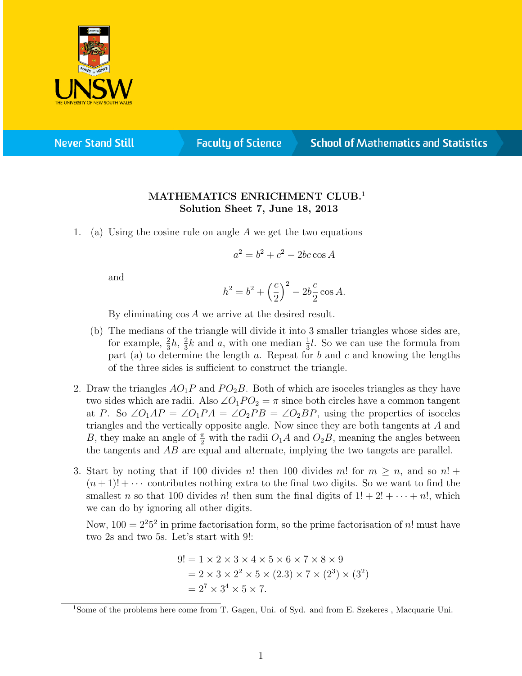

**Never Stand Still** 

**Faculty of Science** 

## **School of Mathematics and Statistics**

## MATHEMATICS ENRICHMENT CLUB.<sup>1</sup> Solution Sheet 7, June 18, 2013

1. (a) Using the cosine rule on angle  $A$  we get the two equations

$$
a^2 = b^2 + c^2 - 2bc \cos A
$$

and

$$
h^{2} = b^{2} + \left(\frac{c}{2}\right)^{2} - 2b\frac{c}{2}\cos A.
$$

By eliminating cos A we arrive at the desired result.

- (b) The medians of the triangle will divide it into 3 smaller triangles whose sides are, for example,  $\frac{2}{3}h$ ,  $\frac{2}{3}$  $\frac{2}{3}k$  and a, with one median  $\frac{1}{3}l$ . So we can use the formula from part (a) to determine the length a. Repeat for b and c and knowing the lengths of the three sides is sufficient to construct the triangle.
- 2. Draw the triangles  $AO_1P$  and  $PO_2B$ . Both of which are isoceles triangles as they have two sides which are radii. Also  $\angle O_1PO_2 = \pi$  since both circles have a common tangent at P. So  $\angle O_1AP = \angle O_1PA = \angle O_2PB = \angle O_2BP$ , using the properties of isoceles triangles and the vertically opposite angle. Now since they are both tangents at A and B, they make an angle of  $\frac{\pi}{2}$  with the radii  $O_1A$  and  $O_2B$ , meaning the angles between the tangents and AB are equal and alternate, implying the two tangets are parallel.
- 3. Start by noting that if 100 divides n! then 100 divides m! for  $m \geq n$ , and so  $n!$  +  $(n+1)! + \cdots$  contributes nothing extra to the final two digits. So we want to find the smallest n so that 100 divides n! then sum the final digits of  $1! + 2! + \cdots + n!$ , which we can do by ignoring all other digits.

Now,  $100 = 2^2 5^2$  in prime factorisation form, so the prime factorisation of n! must have two 2s and two 5s. Let's start with 9!:

$$
9! = 1 \times 2 \times 3 \times 4 \times 5 \times 6 \times 7 \times 8 \times 9
$$
  
= 2 \times 3 \times 2<sup>2</sup> \times 5 \times (2.3) \times 7 \times (2<sup>3</sup>) \times (3<sup>2</sup>)  
= 2<sup>7</sup> \times 3<sup>4</sup> \times 5 \times 7.

<sup>&</sup>lt;sup>1</sup>Some of the problems here come from T. Gagen, Uni. of Syd. and from E. Szekeres, Macquarie Uni.